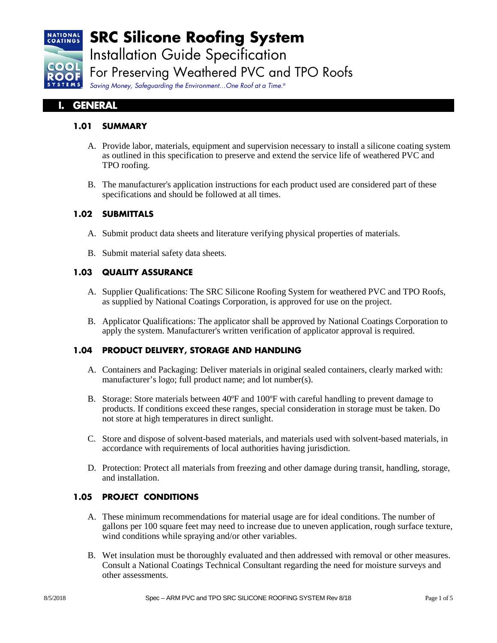

# **SRC Silicone Roofing System**

Installation Guide Specification

For Preserving Weathered PVC and TPO Roofs

*Saving Money, Safeguarding the Environment…One Roof at a Time.*®

# **I. GENERAL**

## **1.01 SUMMARY**

- A. Provide labor, materials, equipment and supervision necessary to install a silicone coating system as outlined in this specification to preserve and extend the service life of weathered PVC and TPO roofing.
- B. The manufacturer's application instructions for each product used are considered part of these specifications and should be followed at all times.

## **1.02 SUBMITTALS**

- A. Submit product data sheets and literature verifying physical properties of materials.
- B. Submit material safety data sheets.

## **1.03 QUALITY ASSURANCE**

- A. Supplier Qualifications: The SRC Silicone Roofing System for weathered PVC and TPO Roofs, as supplied by National Coatings Corporation, is approved for use on the project.
- B. Applicator Qualifications: The applicator shall be approved by National Coatings Corporation to apply the system. Manufacturer's written verification of applicator approval is required.

## **1.04 PRODUCT DELIVERY, STORAGE AND HANDLING**

- A. Containers and Packaging: Deliver materials in original sealed containers, clearly marked with: manufacturer's logo; full product name; and lot number(s).
- B. Storage: Store materials between 40ºF and 100ºF with careful handling to prevent damage to products. If conditions exceed these ranges, special consideration in storage must be taken. Do not store at high temperatures in direct sunlight.
- C. Store and dispose of solvent-based materials, and materials used with solvent-based materials, in accordance with requirements of local authorities having jurisdiction.
- D. Protection: Protect all materials from freezing and other damage during transit, handling, storage, and installation.

## **1.05 PROJECT CONDITIONS**

- A. These minimum recommendations for material usage are for ideal conditions. The number of gallons per 100 square feet may need to increase due to uneven application, rough surface texture, wind conditions while spraying and/or other variables.
- B. Wet insulation must be thoroughly evaluated and then addressed with removal or other measures. Consult a National Coatings Technical Consultant regarding the need for moisture surveys and other assessments.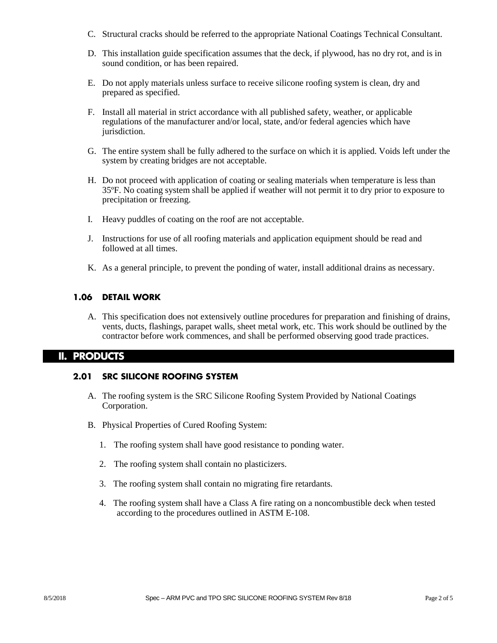- C. Structural cracks should be referred to the appropriate National Coatings Technical Consultant.
- D. This installation guide specification assumes that the deck, if plywood, has no dry rot, and is in sound condition, or has been repaired.
- E. Do not apply materials unless surface to receive silicone roofing system is clean, dry and prepared as specified.
- F. Install all material in strict accordance with all published safety, weather, or applicable regulations of the manufacturer and/or local, state, and/or federal agencies which have jurisdiction.
- G. The entire system shall be fully adhered to the surface on which it is applied. Voids left under the system by creating bridges are not acceptable.
- H. Do not proceed with application of coating or sealing materials when temperature is less than 35ºF. No coating system shall be applied if weather will not permit it to dry prior to exposure to precipitation or freezing.
- I. Heavy puddles of coating on the roof are not acceptable.
- J. Instructions for use of all roofing materials and application equipment should be read and followed at all times.
- K. As a general principle, to prevent the ponding of water, install additional drains as necessary.

#### **1.06 DETAIL WORK**

A. This specification does not extensively outline procedures for preparation and finishing of drains, vents, ducts, flashings, parapet walls, sheet metal work, etc. This work should be outlined by the contractor before work commences, and shall be performed observing good trade practices.

#### **II. PRODUCTS**

#### **2.01 SRC SILICONE ROOFING SYSTEM**

- A. The roofing system is the SRC Silicone Roofing System Provided by National Coatings Corporation.
- B. Physical Properties of Cured Roofing System:
	- 1. The roofing system shall have good resistance to ponding water.
	- 2. The roofing system shall contain no plasticizers.
	- 3. The roofing system shall contain no migrating fire retardants.
	- 4. The roofing system shall have a Class A fire rating on a noncombustible deck when tested according to the procedures outlined in ASTM E-108.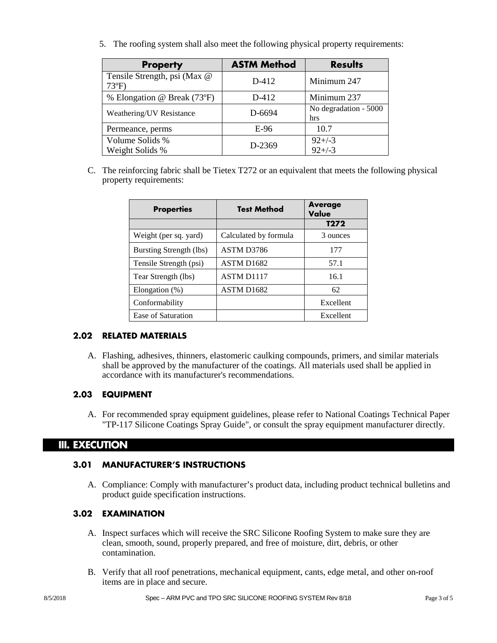5. The roofing system shall also meet the following physical property requirements:

| <b>Property</b>                               | <b>ASTM Method</b> | <b>Results</b>               |
|-----------------------------------------------|--------------------|------------------------------|
| Tensile Strength, psi (Max @<br>$73^{\circ}F$ | D-412              | Minimum 247                  |
| % Elongation @ Break (73°F)                   | D-412              | Minimum 237                  |
| Weathering/UV Resistance.                     | D-6694             | No degradation - 5000<br>hrs |
| Permeance, perms                              | $E-96$             | 10.7                         |
| Volume Solids %<br>Weight Solids %            | D-2369             | $92 + (-3)$<br>$92 + (-3)$   |

C. The reinforcing fabric shall be Tietex T272 or an equivalent that meets the following physical property requirements:

| <b>Properties</b>       | <b>Test Method</b>     | <b>Average</b><br>Value |
|-------------------------|------------------------|-------------------------|
|                         |                        | T <sub>272</sub>        |
| Weight (per sq. yard)   | Calculated by formula  | 3 ounces                |
| Bursting Strength (lbs) | ASTM D3786             | 177                     |
| Tensile Strength (psi)  | ASTM D <sub>1682</sub> | 57.1                    |
| Tear Strength (lbs)     | <b>ASTM D1117</b>      | 16.1                    |
| Elongation $(\%)$       | ASTM D <sub>1682</sub> | 62                      |
| Conformability          |                        | Excellent               |
| Ease of Saturation      |                        | Excellent               |

## **2.02 RELATED MATERIALS**

A. Flashing, adhesives, thinners, elastomeric caulking compounds, primers, and similar materials shall be approved by the manufacturer of the coatings. All materials used shall be applied in accordance with its manufacturer's recommendations.

## **2.03 EQUIPMENT**

A. For recommended spray equipment guidelines, please refer to National Coatings Technical Paper "TP-117 Silicone Coatings Spray Guide", or consult the spray equipment manufacturer directly.

## **III. EXECUTION**

#### **3.01 MANUFACTURER'S INSTRUCTIONS**

A. Compliance: Comply with manufacturer's product data, including product technical bulletins and product guide specification instructions.

#### **3.02 EXAMINATION**

- A. Inspect surfaces which will receive the SRC Silicone Roofing System to make sure they are clean, smooth, sound, properly prepared, and free of moisture, dirt, debris, or other contamination.
- B. Verify that all roof penetrations, mechanical equipment, cants, edge metal, and other on-roof items are in place and secure.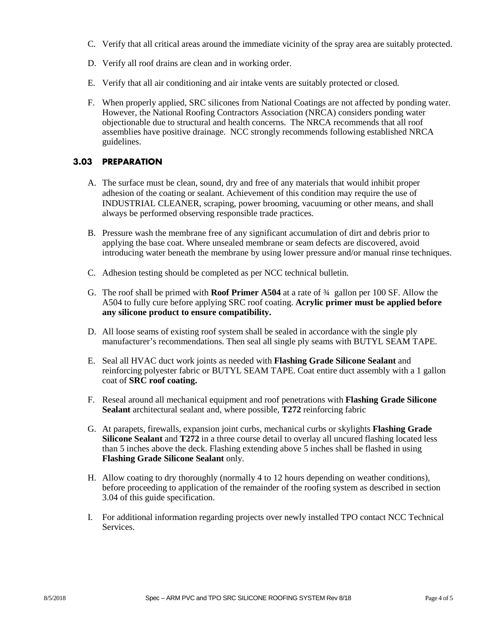- C. Verify that all critical areas around the immediate vicinity of the spray area are suitably protected.
- D. Verify all roof drains are clean and in working order.
- E. Verify that all air conditioning and air intake vents are suitably protected or closed.
- F. When properly applied, SRC silicones from National Coatings are not affected by ponding water. However, the National Roofing Contractors Association (NRCA) considers ponding water objectionable due to structural and health concerns. The NRCA recommends that all roof assemblies have positive drainage. NCC strongly recommends following established NRCA guidelines.

#### **3.03 PREPARATION**

- A. The surface must be clean, sound, dry and free of any materials that would inhibit proper adhesion of the coating or sealant. Achievement of this condition may require the use of INDUSTRIAL CLEANER, scraping, power brooming, vacuuming or other means, and shall always be performed observing responsible trade practices.
- B. Pressure wash the membrane free of any significant accumulation of dirt and debris prior to applying the base coat. Where unsealed membrane or seam defects are discovered, avoid introducing water beneath the membrane by using lower pressure and/or manual rinse techniques.
- C. Adhesion testing should be completed as per NCC technical bulletin.
- G. The roof shall be primed with **Roof Primer A504** at a rate of ¾ gallon per 100 SF. Allow the A504 to fully cure before applying SRC roof coating. **Acrylic primer must be applied before any silicone product to ensure compatibility.**
- D. All loose seams of existing roof system shall be sealed in accordance with the single ply manufacturer's recommendations. Then seal all single ply seams with BUTYL SEAM TAPE.
- E. Seal all HVAC duct work joints as needed with **Flashing Grade Silicone Sealant** and reinforcing polyester fabric or BUTYL SEAM TAPE. Coat entire duct assembly with a 1 gallon coat of **SRC roof coating.**
- F. Reseal around all mechanical equipment and roof penetrations with **Flashing Grade Silicone Sealant** architectural sealant and, where possible, **T272** reinforcing fabric
- G. At parapets, firewalls, expansion joint curbs, mechanical curbs or skylights **Flashing Grade Silicone Sealant** and **T272** in a three course detail to overlay all uncured flashing located less than 5 inches above the deck. Flashing extending above 5 inches shall be flashed in using **Flashing Grade Silicone Sealant** only.
- H. Allow coating to dry thoroughly (normally 4 to 12 hours depending on weather conditions), before proceeding to application of the remainder of the roofing system as described in section 3.04 of this guide specification.
- I. For additional information regarding projects over newly installed TPO contact NCC Technical Services.